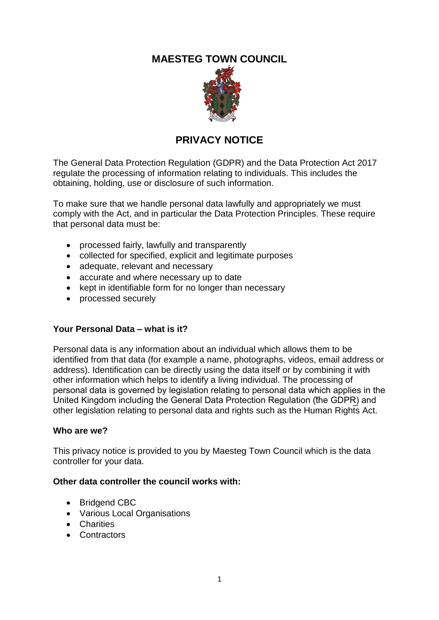# **MAESTEG TOWN COUNCIL**



# **PRIVACY NOTICE**

The General Data Protection Regulation (GDPR) and the Data Protection Act 2017 regulate the processing of information relating to individuals. This includes the obtaining, holding, use or disclosure of such information.

To make sure that we handle personal data lawfully and appropriately we must comply with the Act, and in particular the Data Protection Principles. These require that personal data must be:

- processed fairly, lawfully and transparently
- collected for specified, explicit and legitimate purposes
- adequate, relevant and necessary
- accurate and where necessary up to date
- kept in identifiable form for no longer than necessary
- processed securely

#### **Your Personal Data – what is it?**

Personal data is any information about an individual which allows them to be identified from that data (for example a name, photographs, videos, email address or address). Identification can be directly using the data itself or by combining it with other information which helps to identify a living individual. The processing of personal data is governed by legislation relating to personal data which applies in the United Kingdom including the General Data Protection Regulation (The GDPR) and other legislation relating to personal data and rights such as the Human Rights Act.

#### **Who are we?**

This privacy notice is provided to you by Maesteg Town Council which is the data controller for your data.

#### **Other data controller the council works with:**

- Bridgend CBC
- Various Local Organisations
- Charities
- Contractors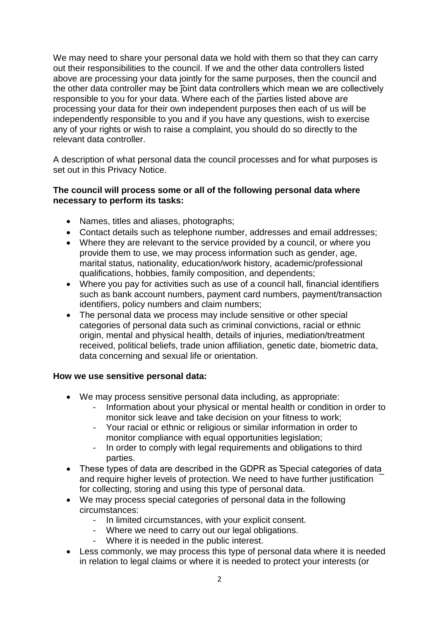We may need to share your personal data we hold with them so that they can carry out their responsibilities to the council. If we and the other data controllers listed above are processing your data jointly for the same purposes, then the council and the other data controller may be joint data controllers which mean we are collectively responsible to you for your data. Where each of the parties listed above are processing your data for their own independent purposes then each of us will be independently responsible to you and if you have any questions, wish to exercise any of your rights or wish to raise a complaint, you should do so directly to the relevant data controller.

A description of what personal data the council processes and for what purposes is set out in this Privacy Notice.

## **The council will process some or all of the following personal data where necessary to perform its tasks:**

- Names, titles and aliases, photographs;
- Contact details such as telephone number, addresses and email addresses;
- Where they are relevant to the service provided by a council, or where you provide them to use, we may process information such as gender, age, marital status, nationality, education/work history, academic/professional qualifications, hobbies, family composition, and dependents;
- Where you pay for activities such as use of a council hall, financial identifiers such as bank account numbers, payment card numbers, payment/transaction identifiers, policy numbers and claim numbers;
- The personal data we process may include sensitive or other special categories of personal data such as criminal convictions, racial or ethnic origin, mental and physical health, details of injuries, mediation/treatment received, political beliefs, trade union affiliation, genetic date, biometric data, data concerning and sexual life or orientation.

#### **How we use sensitive personal data:**

- We may process sensitive personal data including, as appropriate:
	- Information about your physical or mental health or condition in order to monitor sick leave and take decision on your fitness to work;
	- Your racial or ethnic or religious or similar information in order to monitor compliance with equal opportunities legislation;
	- In order to comply with legal requirements and obligations to third parties.
- These types of data are described in the GDPR as Special categories of data and require higher levels of protection. We need to have further justification for collecting, storing and using this type of personal data.
- We may process special categories of personal data in the following circumstances:
	- In limited circumstances, with your explicit consent.
	- Where we need to carry out our legal obligations.
	- Where it is needed in the public interest.
- Less commonly, we may process this type of personal data where it is needed in relation to legal claims or where it is needed to protect your interests (or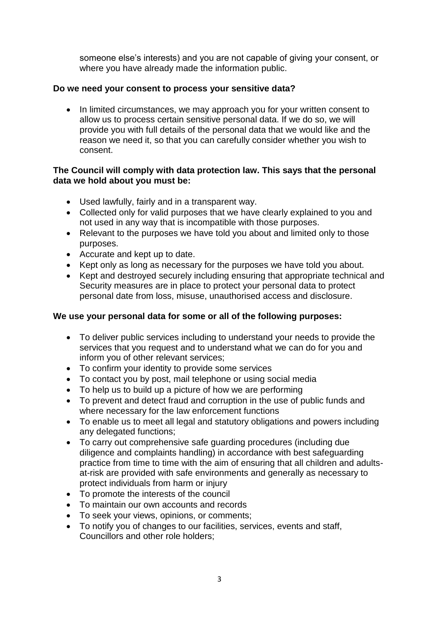someone else's interests) and you are not capable of giving your consent, or where you have already made the information public.

# **Do we need your consent to process your sensitive data?**

• In limited circumstances, we may approach you for your written consent to allow us to process certain sensitive personal data. If we do so, we will provide you with full details of the personal data that we would like and the reason we need it, so that you can carefully consider whether you wish to consent.

# **The Council will comply with data protection law. This says that the personal data we hold about you must be:**

- Used lawfully, fairly and in a transparent way.
- Collected only for valid purposes that we have clearly explained to you and not used in any way that is incompatible with those purposes.
- Relevant to the purposes we have told you about and limited only to those purposes.
- Accurate and kept up to date.
- Kept only as long as necessary for the purposes we have told you about.
- Kept and destroyed securely including ensuring that appropriate technical and Security measures are in place to protect your personal data to protect personal date from loss, misuse, unauthorised access and disclosure.

# **We use your personal data for some or all of the following purposes:**

- To deliver public services including to understand your needs to provide the services that you request and to understand what we can do for you and inform you of other relevant services;
- To confirm your identity to provide some services
- To contact you by post, mail telephone or using social media
- To help us to build up a picture of how we are performing
- To prevent and detect fraud and corruption in the use of public funds and where necessary for the law enforcement functions
- To enable us to meet all legal and statutory obligations and powers including any delegated functions;
- To carry out comprehensive safe guarding procedures (including due diligence and complaints handling) in accordance with best safeguarding practice from time to time with the aim of ensuring that all children and adultsat-risk are provided with safe environments and generally as necessary to protect individuals from harm or injury
- To promote the interests of the council
- To maintain our own accounts and records
- To seek your views, opinions, or comments;
- To notify you of changes to our facilities, services, events and staff, Councillors and other role holders;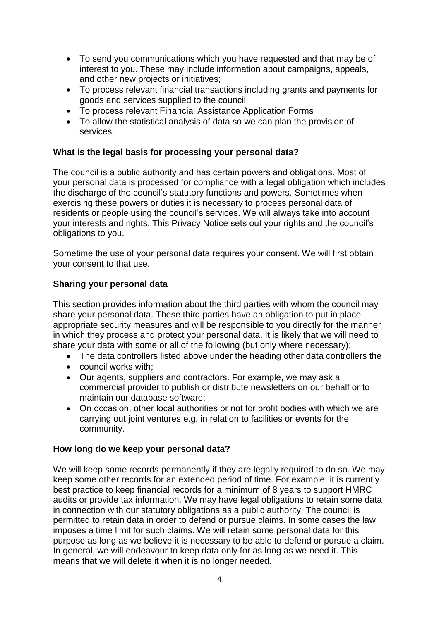- To send you communications which you have requested and that may be of interest to you. These may include information about campaigns, appeals, and other new projects or initiatives;
- To process relevant financial transactions including grants and payments for goods and services supplied to the council;
- To process relevant Financial Assistance Application Forms
- To allow the statistical analysis of data so we can plan the provision of services.

## **What is the legal basis for processing your personal data?**

The council is a public authority and has certain powers and obligations. Most of your personal data is processed for compliance with a legal obligation which includes the discharge of the council's statutory functions and powers. Sometimes when exercising these powers or duties it is necessary to process personal data of residents or people using the council's services. We will always take into account your interests and rights. This Privacy Notice sets out your rights and the council's obligations to you.

Sometime the use of your personal data requires your consent. We will first obtain your consent to that use.

#### **Sharing your personal data**

This section provides information about the third parties with whom the council may share your personal data. These third parties have an obligation to put in place appropriate security measures and will be responsible to you directly for the manner in which they process and protect your personal data. It is likely that we will need to share your data with some or all of the following (but only where necessary):

- The data controllers listed above under the heading other data controllers the
- council works with;
- Our agents, suppliers and contractors. For example, we may ask a commercial provider to publish or distribute newsletters on our behalf or to maintain our database software;
- On occasion, other local authorities or not for profit bodies with which we are carrying out joint ventures e.g. in relation to facilities or events for the community.

#### **How long do we keep your personal data?**

We will keep some records permanently if they are legally required to do so. We may keep some other records for an extended period of time. For example, it is currently best practice to keep financial records for a minimum of 8 years to support HMRC audits or provide tax information. We may have legal obligations to retain some data in connection with our statutory obligations as a public authority. The council is permitted to retain data in order to defend or pursue claims. In some cases the law imposes a time limit for such claims. We will retain some personal data for this purpose as long as we believe it is necessary to be able to defend or pursue a claim. In general, we will endeavour to keep data only for as long as we need it. This means that we will delete it when it is no longer needed.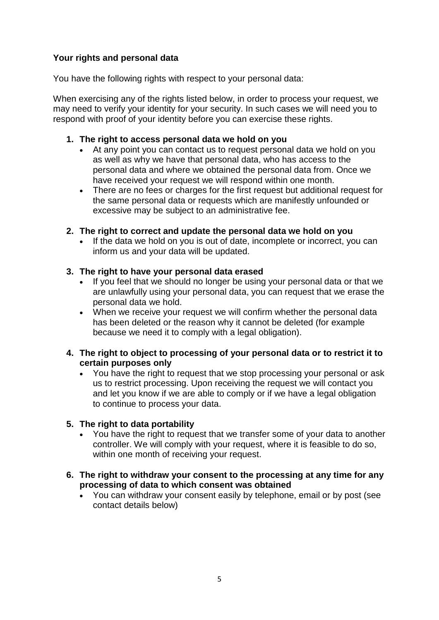# **Your rights and personal data**

You have the following rights with respect to your personal data:

When exercising any of the rights listed below, in order to process your request, we may need to verify your identity for your security. In such cases we will need you to respond with proof of your identity before you can exercise these rights.

## **1. The right to access personal data we hold on you**

- At any point you can contact us to request personal data we hold on you as well as why we have that personal data, who has access to the personal data and where we obtained the personal data from. Once we have received your request we will respond within one month.
- There are no fees or charges for the first request but additional request for the same personal data or requests which are manifestly unfounded or excessive may be subject to an administrative fee.

# **2. The right to correct and update the personal data we hold on you**

 If the data we hold on you is out of date, incomplete or incorrect, you can inform us and your data will be updated.

# **3. The right to have your personal data erased**

- If you feel that we should no longer be using your personal data or that we are unlawfully using your personal data, you can request that we erase the personal data we hold.
- When we receive your request we will confirm whether the personal data has been deleted or the reason why it cannot be deleted (for example because we need it to comply with a legal obligation).

## **4. The right to object to processing of your personal data or to restrict it to certain purposes only**

 You have the right to request that we stop processing your personal or ask us to restrict processing. Upon receiving the request we will contact you and let you know if we are able to comply or if we have a legal obligation to continue to process your data.

# **5. The right to data portability**

- You have the right to request that we transfer some of your data to another controller. We will comply with your request, where it is feasible to do so, within one month of receiving your request.
- **6. The right to withdraw your consent to the processing at any time for any processing of data to which consent was obtained**
	- You can withdraw your consent easily by telephone, email or by post (see contact details below)